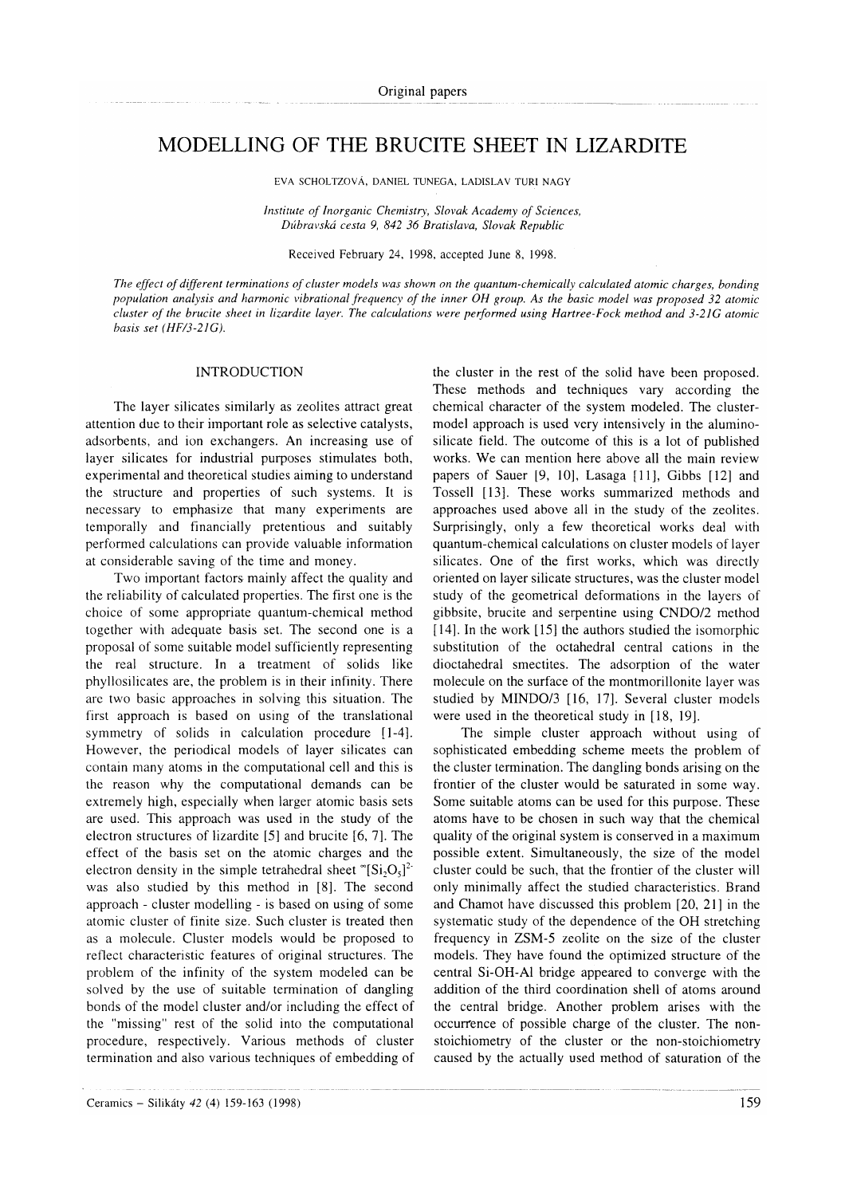# MODELLING OF THE BRUCITE SHEET IN LIZARDITE

EVA SCHOLTZOVA, DANIEL TUNEGA, LADISLAV TURI NAGY

Institute of Inorganic Chemistry, Slovak Academy of Sciences, Dúbravská cesta 9, 842 36 Bratislava, Slovak Republic

Received February 24, 1998, accepted June 8, 1998.

The effect of different terminations of cluster models was shown on the quantum-chemically calculated atomic charges, bonding population analysis and harmonic vibrational frequency of the inner OH group. As the basic model was proposed 32 atomic cluster of the brucite sheet in lizardite layer. The calculations were performed using Hartree-Fock method and 3-21G atomic basis set (HF/3-21C).

### INTRODUCTION

The layer silicates similarly as zeolites attract great attention due to their important role as selective catalysts, adsorbents, and ion exchangers. An increasing use of layer silicates for industrial purposes stimulates both, experimental and theoretical studies aiming to understand the structure and properties of such systems. It is necessary to emphasize that many experiments are temporally and financially pretentious and suitably performed calculations can provide valuable information at considerable saving of the time and money.

Two important factors mainly affect the quality and the reliability of calculated properties. The first one is the choice of some appropriate quantum-chemical method together with adequate basis set. The second one is a proposal of some suitable model sufficiently representing the real structure. In a treatment of solids like phyllosilicates are, the problem is in their infinity. There are two basic approaches in solving this situation. The first approach is based on using of the translational symmetry of solids in calculation procedure  $[1-4]$ . However, the periodical models of layer silicates can contain many atoms in the computational cell and this is the reason why the computational demands can be extremely high, especially when larger atomic basis sets are used. This approach was used in the study of the electron structures of lizardite [5] and brucite [6, 7]. The effect of the basis set on the atomic charges and the electron density in the simple tetrahedral sheet " $[Si_2O_s]^2$ was also studied by this method in [8]. The second approach - cluster modelling - is based on using of some atomic cluster of finite size. Such cluster is treated then as a molecule. Cluster models would be proposed to reflect characteristic features of original structures. The problem of the infinity of the system modeled can be solved by the use of suitable termination of dangling bonds of the model cluster and/or including the effect of the "missing" rest of the solid into the computational procedure, respectively. Various methods of cluster termination and also various techniques of embedding of the cluster in the rest of the solid have been proposed. These methods and techniques vary according the chemical character of the system modeled. The clustermodel approach is used very intensively in the aluminosilicate field. The outcome of this is a lot of published works. We can mention here above all the main review papers of Sauer [9, l0], Lasaga [11], Gibbs [12] and Tossell [13]. These works summarized methods and approaches used above all in the study of the zeolites. Surprisingly, only a few theoretical works deal with quantum-chemical calculations on cluster models of layer silicates, One of the first works, which was directly oriented on layer siiicate structures, was the cluster model study of the geometrical deformations in the layers of gibbsite, brucite and serpentine using CNDO/2 method [14]. In the work [15] the authors studied the isomorphic substitution of the octahedral central cations in the dioctahedral smectites. The adsorption of the water molecule on the surface of the montmorillonite layer was studied by MINDO/3 [16, l7]. Several cluster models were used in the theoretical study in [18, 19].

The simple cluster approach without using of sophisticated embedding scheme meets the problem of the cluster termination. The dangling bonds arising on the frontier of the cluster would be saturated in some way. Some suitable atoms can be used for this purpose. These atoms have to be chosen in such way that the chemical quality of the original system is conserved in a maximum possible extent. Simultaneously, the size of the model cluster could be such, that the frontier of the cluster will only minimally affect the studied characteristics. Brand and Chamot have discussed this problem [20, 2l ] in the systematic study of the dependence of the OH stretching frequency in ZSM-5 zeolite on the size of the cluster models. They have found the optimized structure of the central Si-OH-Al bridge appeared to converge with the addition of the third coordination shell of atoms around the central bridge. Another problem arises with the occurrence of possible charge of the cluster. The nonstoichiometry of the cluster or the non-stoichiometry caused by the actually used method of saturation of the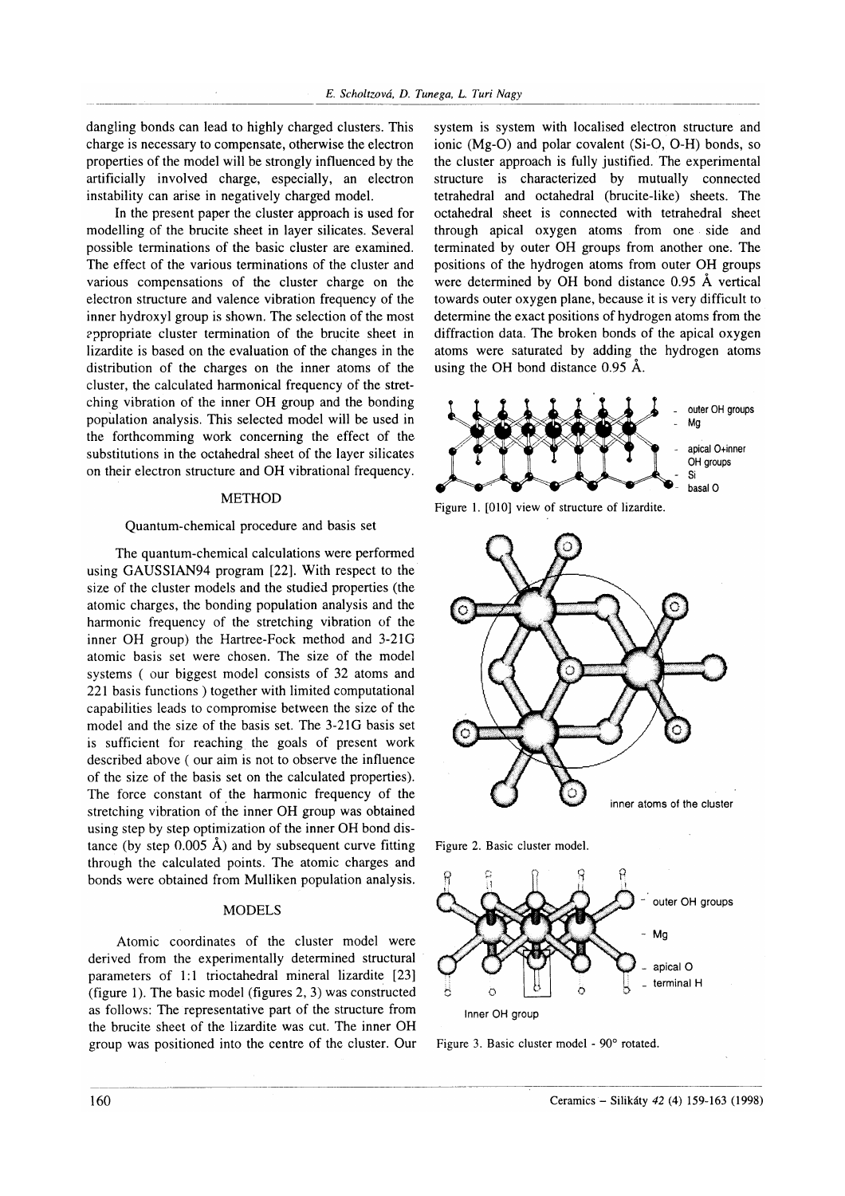dangling bonds can lead to highly charged clusters. This charge is necessary to compensate, otherwise the electron properties of the model will be strongly influenced by the artificially involved charge, especially, an electron instability can arise in negatively charged model.

In the present paper the cluster approach is used for modelling of the brucite sheet in layer silicates. Several possible terminations of the basic cluster are examíned. The effect of the various terminations of the cluster and various compensations of the cluster charge on the electron structure and valence vibration frequency of the inner hydroxyl group is shown. The selection of the most appropriate cluster termination of the brucite sheet in lizardite is based on the evaluation of the changes in the distribution of the charges on the inner atoms of the cluster, the calculated harmonical frequency of the stretching vibration of the inner OH group and the bonding population analysis. This selected model will be used in the forthcomming work concerning the effect of the substitutions in the octahedral sheet of the layer silicates on their electron structure and OH vibrational frequency.

# METHOD

#### Quantum-chemical procedure and basis set

The quantum-chemical calculations were performed using GAUSSIAN94 program [22]. With respect to the size of the cluster models and the studied properties (the atomic charges, the bonding population analysis and the harmonic frequency of the stretching vibration of the inner OH group) the Hartree-Fock method and 3-2lG atomic basis set were chosen. The size of the model systems ( our biggest model consists of 32 atoms and 221 basis functions ) together with limited computational capabilities leads to compromise between the size of the model and the size of the basis set. The 3-21G basis set is sufficient for reaching the goals of present work described above ( our aim is not to observe the influence of the size of the basis set on the calculated properties). The force constant of the harmonic frequency of the stretching vibration of the inner OH group was obtained using step by step optimization of the inner OH bond distance (by step  $0.005$  Å) and by subsequent curve fitting through the calculated points. The atomic charges and bonds were obtained from Mulliken population analysis.

# MODELS

Atomic coordinates of the cluster model were derived from the experimentally determined structural parameters of 1:1 trioctahedral mineral lizardite [23] (figure 1). The basic model (figures 2, 3) was constructed as follows: The representative part of the structure from the brucite sheet of the lizardite was cut. The inner OH group was positioned into the centre of the cluster. Our system is system with localised electron structure and ionic (Mg-O) and polar covalent (Si-O, O-H) bonds, so the cluster approach is fully justified. The experimental structure is characterized by mutually connected tetrahedral and octahedral (brucite-like) sheets. The octahedral sheet is connected with tetrahedral sheet through apical oxygen atoms from one side and terminated by outer OH groups from another one. The positions of the hydrogen atoms from outer OH groups were determined by OH bond distance 0.95 Å vertical towards outer oxygen plane, because it is very difficult to determine the exact positions of hydrogen atoms from the diffraction data. The broken bonds of the apical oxygen atoms were saturated by adding the hydrogen atoms using the oH bond distance 0.95 Á.







Figure 2. Basic cluster model.



Figure 3. Basic cluster model - 90° rotated.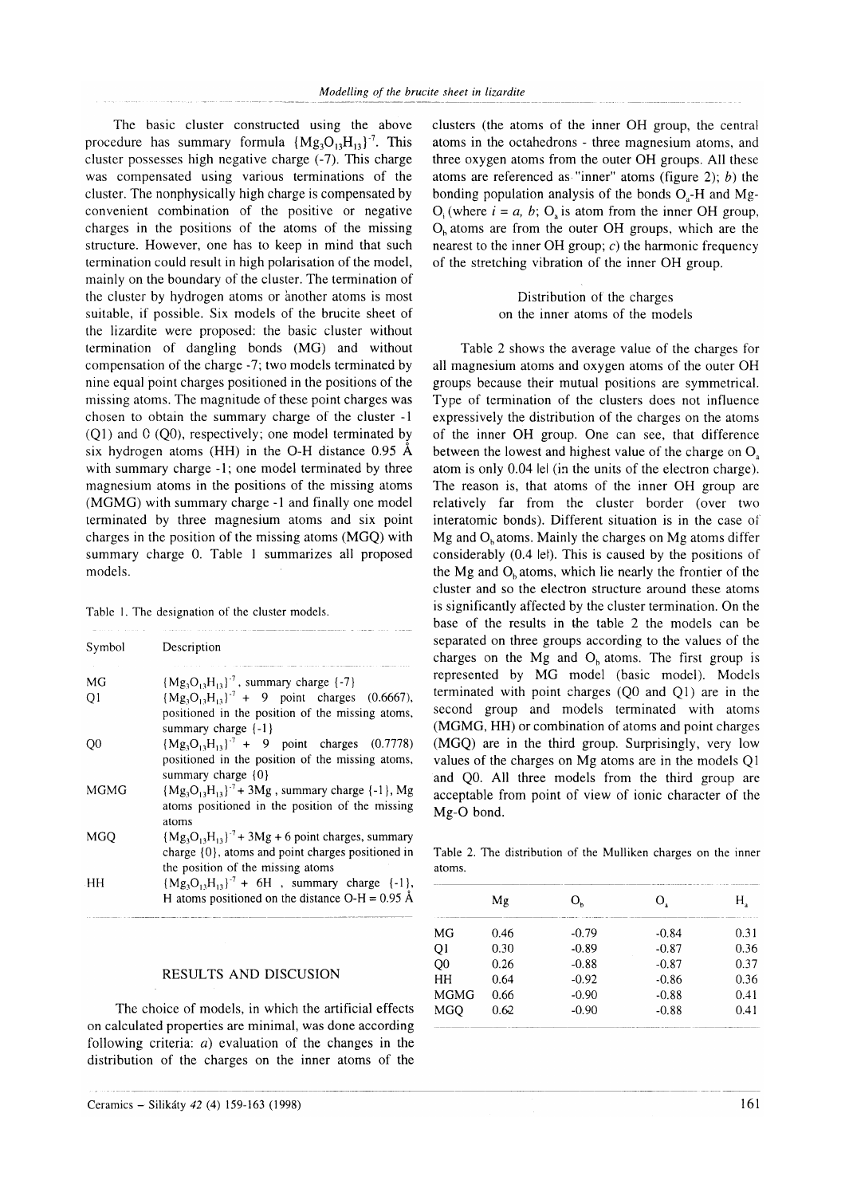The basic cluster constructed using the above procedure has summary formula  ${Mg_3O_{13}H_{13}}^7$ . This cluster possesses high negative charge (-7). This charge was compensated using various terminations of the cluster. The nonphysically high charge is compensated by convenient combination of the positive or negative charges in the positions of the atoms of the missing structure. However, one has to keep in mind that such termination could result in high polarisation of the model, mainly on the boundary of the cluster. The termination of the cluster by hydrogen atoms or another atoms is most suitable, if possible. Six models of the brucite sheet of the lizardite were proposed: the basic cluster without termination of dangling bonds (MG) and without oompensation of the charge -7; two models terminated by nine equal point charges positioned in the positions of the missing atoms. The magnitude of these point charges was chosen to obtain the summary charge of the cluster - I  $(Q1)$  and  $(Q0)$ , respectively; one model terminated by six hydrogen atoms (HH) in the O-H distance 0.95 A with summary charge -1; one model terminated by three magnesium atoms in the positions of the missing atoms (MGMG) with summary charge -1 and finally one model terminated by three magnesium atoms and six point charges in the position of the missing atoms (MGQ) with summary charge 0. Table I summarizes all proposed models.

| Table 1. The designation of the cluster models. |  |
|-------------------------------------------------|--|
|-------------------------------------------------|--|

| Symbol         | Description                                               |
|----------------|-----------------------------------------------------------|
|                |                                                           |
| МG             | ${Mg_3O_{13}H_{13}}^7$ , summary charge {-7}              |
| Q <sub>1</sub> | ${Mg_3O_1,H_{13}}^7$ + 9 point charges (0.6667),          |
|                | positioned in the position of the missing atoms,          |
|                | summary charge $\{-1\}$                                   |
| Q0             | ${Mg_3O_1,H_{13}}^7$ + 9 point charges (0.7778)           |
|                | positioned in the position of the missing atoms,          |
|                | summary charge $\{0\}$                                    |
| MGMG           | ${Mg_3O_1,H_{13}}^7$ + 3Mg, summary charge {-1}, Mg       |
|                | atoms positioned in the position of the missing           |
|                | atoms                                                     |
| MGO            | $(Mg_3O_{13}H_{13})^7$ + 3Mg + 6 point charges, summary   |
|                | charge {0}, atoms and point charges positioned in         |
|                | the position of the missing atoms                         |
| HH             | ${Mg_3O_1,H_{13}}^7 + 6H$ , summary charge {-1},          |
|                | H atoms positioned on the distance O-H = $0.95 \text{ Å}$ |

# RESULTS AND DISCUSION

The choice of models, in which the artificial effects on calculated properties are minimal, was done according following criteria: a) evaluation of the changes in the distribution of the charges on the inner atoms of the

Ceramics – Silikáty 42 (4) 159-163 (1998) 161

clusters (the atoms of the inner OH group, the central atoms in the octahedrons - three magnesium atoms, and three oxygen atoms from the outer OH groups. All these atoms are referenced as "inner" atoms (figure 2);  $b$ ) the bonding population analysis of the bonds  $O<sub>s</sub>$ -H and Mg- $O_i$  (where  $i = a, b$ ; O is atom from the inner OH group,  $O<sub>h</sub>$  atoms are from the outer OH groups, which are the nearest to the inner OH group;  $c$ ) the harmonic frequency of the stretching vibration of the inner OH group.

> Distribution of the charges on the inner atoms of the models

Table 2 shows the average value of the charges for all magnesium atoms and oxygen atoms of the outer OH groups because their mutual positions are symmetrical. Type of termination of the clusters does not influence expressively the distribution of the charges on the atoms of the inner OH group. One can see, that difforenoe between the lowest and highest value of the charge on  $O<sub>a</sub>$ atom is only 0.04 lel (in the units of the electron charge). The reason is, that atoms of the inner OH group are relatively far from the cluster border (over two interatomic bonds). Different situation is in the case oÍ'  $Mg$  and  $O<sub>b</sub>$  atoms. Mainly the charges on Mg atoms differ considerably (0.4 lel). This is caused by the positions of the Mg and  $O<sub>b</sub>$  atoms, which lie nearly the frontier of the cluster and so the electron structure around these atoms is significantly affected by the cluster termination. On the base of the results in the table 2 the models can be separated on three groups according to the values of the charges on the Mg and  $O<sub>b</sub>$  atoms. The first group is represented by MG model (basic model). Models terminated with point charges (Q0 and Q1) are in the second group and models terminated with atoms (MGMG, HH) or combination of atoms and point charges (MGQ) are in the third group. Surprisingly, very low values of the charges on Mg atoms are in the models Ql and Q0. All three models from the third group are acceptable from point of view of ionic character of the Mg-O bond.

Table 2. The distribution of the Mulliken charges on the inner atoms.

|                | Mg   | $O_{\kappa}$ | O.      | Н.   |  |
|----------------|------|--------------|---------|------|--|
| MG             | 0.46 | $-0.79$      | $-0.84$ | 0.31 |  |
| Q <sub>1</sub> | 0.30 | $-0.89$      | $-0.87$ | 0.36 |  |
| Q <sub>0</sub> | 0.26 | $-0.88$      | $-0.87$ | 0.37 |  |
| HH             | 0.64 | $-0.92$      | $-0.86$ | 0.36 |  |
| <b>MGMG</b>    | 0.66 | $-0.90$      | $-0.88$ | 0.41 |  |
| <b>MGO</b>     | 0.62 | $-0.90$      | $-0.88$ | 0.41 |  |
|                |      |              |         |      |  |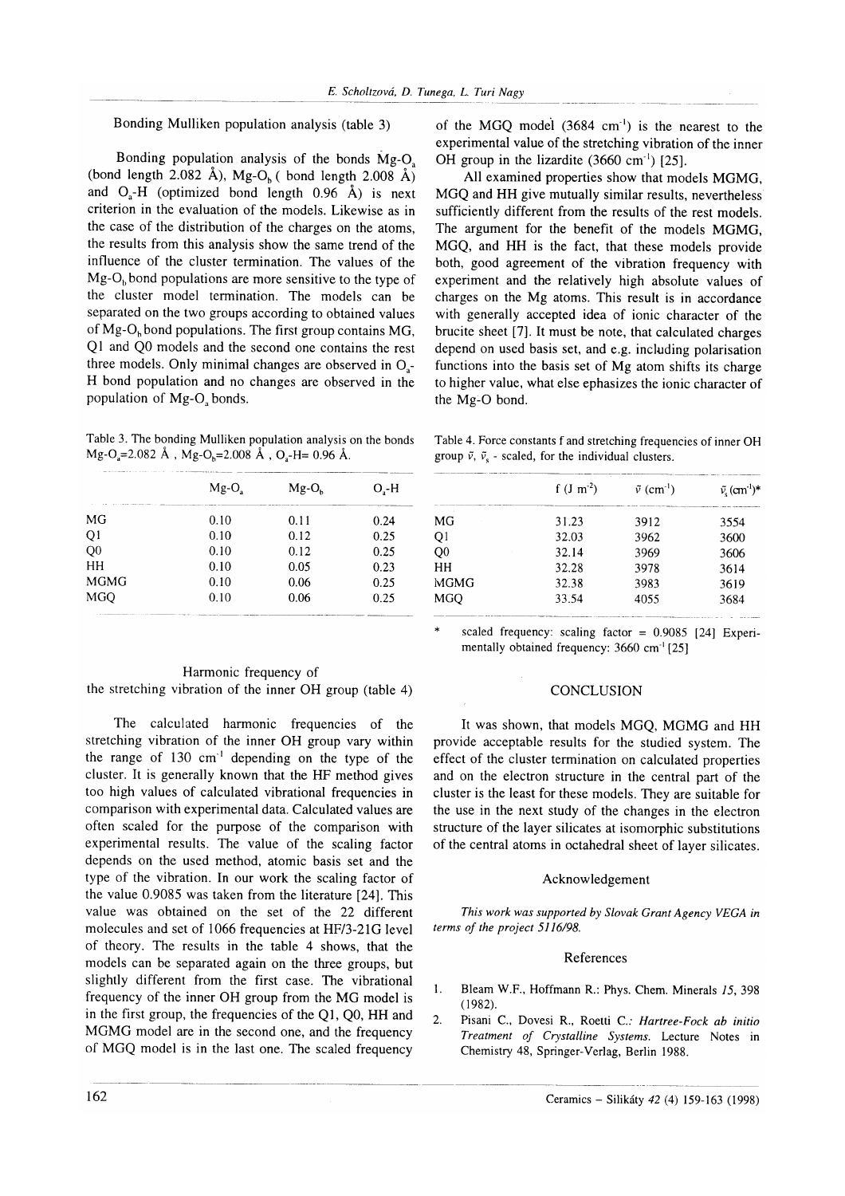Bonding Mulliken population analysis (table 3)

Bonding population analysis of the bonds Mg-O. (bond length 2.082 Å), Mg-O<sub>b</sub> ( bond length 2.008 Å) and  $O_a$ -H (optimized bond length 0.96 Å) is next criterion in the evaluation of the models. Likewise as in the case of the distribution of the charges on the atoms, the results from this analysis show the same trend of the influence of the cluster termination. The values of the  $Mg-O<sub>b</sub>$  bond populations are more sensitive to the type of the cluster model termination. The models can be separated on the two groups according to obtained values of Mg-O<sub>b</sub> bond populations. The first group contains MG, Ql and Q0 models and the second one contains the rest three models. Only minimal changes are observed in O.- H bond population and no changes are observed in the population of Mg-O<sub>s</sub> bonds.

Table 3. The bonding Mulliken population analysis on the bonds  $Mg-O = 2.082 \text{ Å}$ ,  $Mg-O<sub>n</sub>=2.008 \text{ Å}$ ,  $O<sub>n</sub>-H= 0.96 \text{ Å}$ .

|                | $Mg-Os$ | $Mg-Oh$ | $O, -H$ |
|----------------|---------|---------|---------|
| MG             | 0.10    | 0.11    | 0.24    |
| QI             | 0.10    | 0.12    | 0.25    |
| Q <sub>0</sub> | 0.10    | 0.12    | 0.25    |
| HH             | 0.10    | 0.05    | 0.23    |
| <b>MGMG</b>    | 0.10    | 0.06    | 0.25    |
| MGO            | 0.10    | 0.06    | 0.25    |

# Harmonic frequency of the stretching vibration of the inner OH group (table 4)

The calculated harmonic frequencies of the stretching vibration of the inner OH group vary within the range of  $130 \text{ cm}^{-1}$  depending on the type of the cluster. It is generally known that the HF method gives too high values of calculated vibrational frequencies in comparison with experimental data. Calculated values are often scaled for the purpose of the comparison with experimental results. The value of the scaling factor depends on the used method, atomic basis set and the type of the vibration. In our work the scaling factor of the value 0.9085 was taken from the literature [24]. This value was obtained on the set of the 22 different molecules and set of 1066 frequencies at HF/3-21G level of theory. The results in the table 4 shows, that the models can be separated again on the three groups, but slightly different from the first case. The vibrational frequency of the inner OH group from the MG model is in the first group, the frequencies of the Ql, Q0, HH and MGMG model are in the second one, and the frequency of MGQ model is in the last one. The scaled frequency of the MGQ model  $(3684 \text{ cm}^{-1})$  is the nearest to the experimental value of the stretching vibration of the inner OH group in the lizardite  $(3660 \text{ cm}^{-1})$  [25].

All examined properties show that models MGMG, MGQ and HH give mutually similar results, nevertheless sufficiently different from the results of the rest models. The argument for the benefit of the models MGMG, MGQ, and HH is the fact, that these models provide both, good agreement of the vibration frequency with experiment and the relatively high absolute values of charges on the Mg atoms. This result is in accordance with generally accepted idea of ionic character of the brucite sheet [7]. It must be note, that calculated charges depend on used basis set, and e.g. including polarisation functions into the basis set of Mg atom shifts its charge to higher value, what else ephasizes the ionic character of the Mg-O bond.

Table 4. Force constants f and stretching frequencies of inner OH group  $\tilde{v}$ ,  $\tilde{v}$  - scaled, for the individual clusters.

| $f (J m-2)$ | $\tilde{v}$ (cm <sup>-1</sup> ) | $\tilde{v}_{s}$ (cm <sup>-1</sup> ) <sup>*</sup> |
|-------------|---------------------------------|--------------------------------------------------|
| 31.23       | 3912                            | 3554                                             |
| 32.03       | 3962                            | 3600                                             |
| 32.14       | 3969                            | 3606                                             |
| 32.28       | 3978                            | 3614                                             |
| 32.38       | 3983                            | 3619                                             |
| 33.54       | 4055                            | 3684                                             |
|             |                                 |                                                  |

scaled frequency: scaling factor =  $0.9085$  [24] Experimentally obtained frequency: 3660 cm<sup>-1</sup> [25]

# **CONCLUSION**

It was shown, that models MGO, MGMG and HH provide acceptable results for the studied system. The effect of the cluster termination on calculated properties and on the electron structure in the central part of the cluster is the least for these models. They are suitable for the use in the next study of the changes in the electron structure of the layer silicates at isomorphic substitutions of the central atoms in octahedral sheet of laver silicates.

# Acknowledgement

This work was supported by Slovak Grant Agency VEGA in terms of the project 5l 16/98.

# References

- l. Bleam W.F., Hoffmann R.: Phys. Chem. Minerals 15, 398  $(1982)$ .
- 2. Pisani C., Dovesi R., Roetti C.: Hartree-Fock ab initio Treatment of Crystalline Systems. Lecture Notes in Chemistry 48, Springer-Verlag, Berlin 1988.